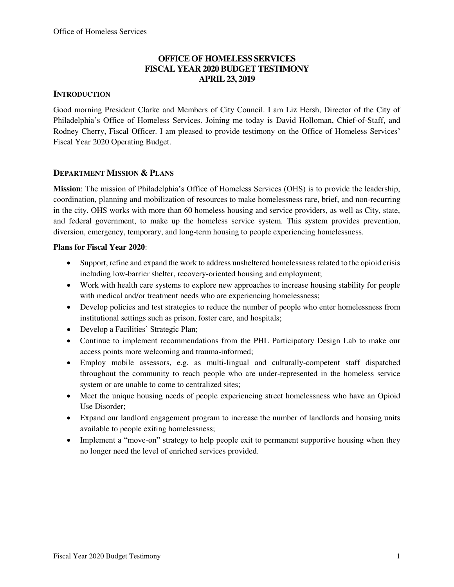## **OFFICE OF HOMELESS SERVICES FISCAL YEAR 2020 BUDGET TESTIMONY APRIL 23, 2019**

### **INTRODUCTION**

Good morning President Clarke and Members of City Council. I am Liz Hersh, Director of the City of Philadelphia's Office of Homeless Services. Joining me today is David Holloman, Chief-of-Staff, and Rodney Cherry, Fiscal Officer. I am pleased to provide testimony on the Office of Homeless Services' Fiscal Year 2020 Operating Budget.

### **DEPARTMENT MISSION & PLANS**

**Mission**: The mission of Philadelphia's Office of Homeless Services (OHS) is to provide the leadership, coordination, planning and mobilization of resources to make homelessness rare, brief, and non-recurring in the city. OHS works with more than 60 homeless housing and service providers, as well as City, state, and federal government, to make up the homeless service system. This system provides prevention, diversion, emergency, temporary, and long-term housing to people experiencing homelessness.

### **Plans for Fiscal Year 2020**:

- Support, refine and expand the work to address unsheltered homelessness related to the opioid crisis including low-barrier shelter, recovery-oriented housing and employment;
- Work with health care systems to explore new approaches to increase housing stability for people with medical and/or treatment needs who are experiencing homelessness;
- Develop policies and test strategies to reduce the number of people who enter homelessness from institutional settings such as prison, foster care, and hospitals;
- Develop a Facilities' Strategic Plan;
- Continue to implement recommendations from the PHL Participatory Design Lab to make our access points more welcoming and trauma-informed;
- Employ mobile assessors, e.g. as multi-lingual and culturally-competent staff dispatched throughout the community to reach people who are under-represented in the homeless service system or are unable to come to centralized sites;
- Meet the unique housing needs of people experiencing street homelessness who have an Opioid Use Disorder;
- Expand our landlord engagement program to increase the number of landlords and housing units available to people exiting homelessness;
- Implement a "move-on" strategy to help people exit to permanent supportive housing when they no longer need the level of enriched services provided.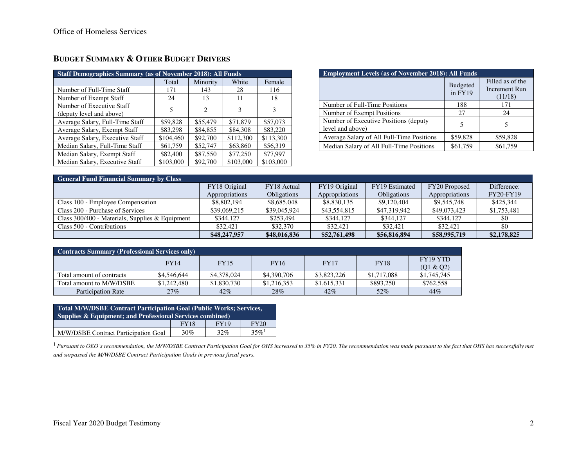| <b>Staff Demographics Summary (as of November 2018): All Funds</b> |           |          |           |           |  |  |  |  |  |
|--------------------------------------------------------------------|-----------|----------|-----------|-----------|--|--|--|--|--|
|                                                                    | Total     | Minority | White     | Female    |  |  |  |  |  |
| Number of Full-Time Staff                                          | 171       | 143      | 28        | 116       |  |  |  |  |  |
| Number of Exempt Staff                                             | 24        | 13       | 11        | 18        |  |  |  |  |  |
| Number of Executive Staff<br>(deputy level and above)              | 5         | 2        | 3         | 3         |  |  |  |  |  |
| Average Salary, Full-Time Staff                                    | \$59,828  | \$55,479 | \$71,879  | \$57,073  |  |  |  |  |  |
| Average Salary, Exempt Staff                                       | \$83,298  | \$84,855 | \$84,308  | \$83,220  |  |  |  |  |  |
| Average Salary, Executive Staff                                    | \$104,460 | \$92,700 | \$112,300 | \$113,300 |  |  |  |  |  |
| Median Salary, Full-Time Staff                                     | \$61,759  | \$52,747 | \$63,860  | \$56,319  |  |  |  |  |  |
| Median Salary, Exempt Staff                                        | \$82,400  | \$87,550 | \$77,250  | \$77,997  |  |  |  |  |  |
| Median Salary, Executive Staff                                     | \$103,000 | \$92,700 | \$103,000 | \$103,000 |  |  |  |  |  |

# **BUDGET SUMMARY & OTHER BUDGET DRIVERS**

| <b>Employment Levels (as of November 2018): All Funds</b>  |                              |                                              |  |  |  |  |  |
|------------------------------------------------------------|------------------------------|----------------------------------------------|--|--|--|--|--|
|                                                            | <b>Budgeted</b><br>$in$ FY19 | Filled as of the<br>Increment Run<br>(11/18) |  |  |  |  |  |
| Number of Full-Time Positions                              | 188                          | 171                                          |  |  |  |  |  |
| Number of Exempt Positions                                 | 27                           | 24                                           |  |  |  |  |  |
| Number of Executive Positions (deputy)<br>level and above) | 5                            |                                              |  |  |  |  |  |
| Average Salary of All Full-Time Positions                  | \$59,828                     | \$59,828                                     |  |  |  |  |  |
| Median Salary of All Full-Time Positions                   | \$61,759                     | \$61,759                                     |  |  |  |  |  |

| <b>General Fund Financial Summary by Class</b>    |                |                    |                |                |                |                  |  |  |  |
|---------------------------------------------------|----------------|--------------------|----------------|----------------|----------------|------------------|--|--|--|
|                                                   | FY18 Original  | FY18 Actual        | FY19 Original  | FY19 Estimated | FY20 Proposed  | Difference:      |  |  |  |
|                                                   | Appropriations | <b>Obligations</b> | Appropriations | Obligations    | Appropriations | <b>FY20-FY19</b> |  |  |  |
| Class 100 - Employee Compensation                 | \$8,802,194    | \$8,685,048        | \$8,830,135    | \$9,120,404    | \$9,545,748    | \$425,344        |  |  |  |
| Class 200 - Purchase of Services                  | \$39,069,215   | \$39,045,924       | \$43,554,815   | \$47,319,942   | \$49,073,423   | \$1,753,481      |  |  |  |
| Class $300/400$ - Materials, Supplies & Equipment | \$344,127      | \$253.494          | \$344,127      | \$344,127      | \$344,127      | \$0              |  |  |  |
| Class 500 - Contributions                         | \$32,421       | \$32,370           | \$32,421       | \$32.421       | \$32,421       | \$0              |  |  |  |
|                                                   | \$48,247,957   | \$48,016,836       | \$52,761,498   | \$56,816,894   | \$58,995,719   | \$2,178,825      |  |  |  |

| <b>Contracts Summary (Professional Services only)</b> |             |             |             |             |             |                       |  |  |  |
|-------------------------------------------------------|-------------|-------------|-------------|-------------|-------------|-----------------------|--|--|--|
|                                                       | <b>FY14</b> | <b>FY15</b> | <b>FY16</b> | <b>FY17</b> | <b>FY18</b> | FY19 YTD<br>(Q1 & Q2) |  |  |  |
| Total amount of contracts                             | \$4,546,644 | \$4,378,024 | \$4,390,706 | \$3,823,226 | \$1,717,088 | \$1,745,745           |  |  |  |
| Total amount to M/W/DSBE                              | \$1,242,480 | \$1,830,730 | \$1,216,353 | \$1,615,331 | \$893,250   | \$762,558             |  |  |  |
| Participation Rate                                    | $27\%$      | $42\%$      | 28%         | 42%         | 52%         | 44%                   |  |  |  |

| <b>Total M/W/DSBE Contract Participation Goal (Public Works; Services,</b><br>Supplies & Equipment; and Professional Services combined) |     |     |                     |  |  |  |  |
|-----------------------------------------------------------------------------------------------------------------------------------------|-----|-----|---------------------|--|--|--|--|
| <b>FY19</b><br><b>FY20</b><br><b>FY18</b>                                                                                               |     |     |                     |  |  |  |  |
| M/W/DSBE Contract Participation Goal                                                                                                    | 30% | 32% | $35\%$ <sup>1</sup> |  |  |  |  |

<sup>1</sup> Pursuant to OEO's recommendation, the M/W/DSBE Contract Participation Goal for OHS increased to 35% in FY20. The recommendation was made pursuant to the fact that OHS has successfully met *and surpassed the M/W/DSBE Contract Participation Goals in previous fiscal years.*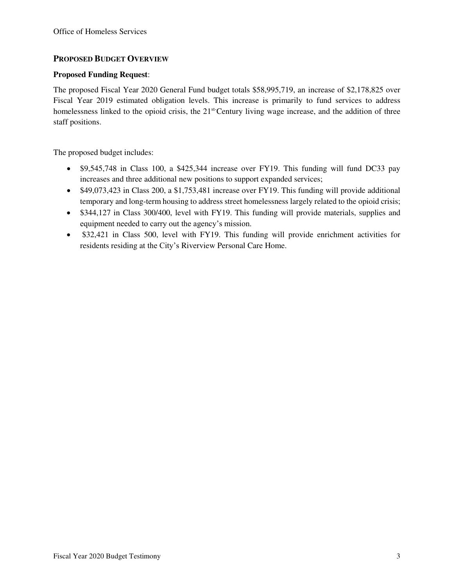### **PROPOSED BUDGET OVERVIEW**

### **Proposed Funding Request**:

The proposed Fiscal Year 2020 General Fund budget totals \$58,995,719, an increase of \$2,178,825 over Fiscal Year 2019 estimated obligation levels. This increase is primarily to fund services to address homelessness linked to the opioid crisis, the 21<sup>st-</sup>Century living wage increase, and the addition of three staff positions.

The proposed budget includes:

- \$9,545,748 in Class 100, a \$425,344 increase over FY19. This funding will fund DC33 pay increases and three additional new positions to support expanded services;
- \$49,073,423 in Class 200, a \$1,753,481 increase over FY19. This funding will provide additional temporary and long-term housing to address street homelessness largely related to the opioid crisis;
- \$344,127 in Class 300/400, level with FY19. This funding will provide materials, supplies and equipment needed to carry out the agency's mission.
- \$32,421 in Class 500, level with FY19. This funding will provide enrichment activities for residents residing at the City's Riverview Personal Care Home.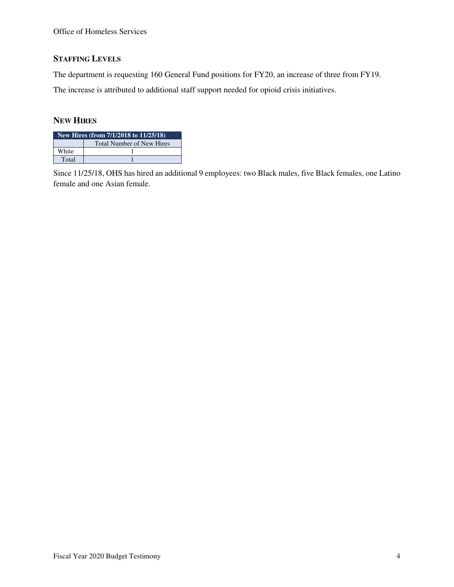## **STAFFING LEVELS**

The department is requesting 160 General Fund positions for FY20, an increase of three from FY19.

The increase is attributed to additional staff support needed for opioid crisis initiatives.

## **NEW HIRES**

| New Hires (from 7/1/2018 to 11/25/18) |                                  |  |  |  |  |  |
|---------------------------------------|----------------------------------|--|--|--|--|--|
|                                       | <b>Total Number of New Hires</b> |  |  |  |  |  |
| White                                 |                                  |  |  |  |  |  |
| Total                                 |                                  |  |  |  |  |  |

Since 11/25/18, OHS has hired an additional 9 employees: two Black males, five Black females, one Latino female and one Asian female.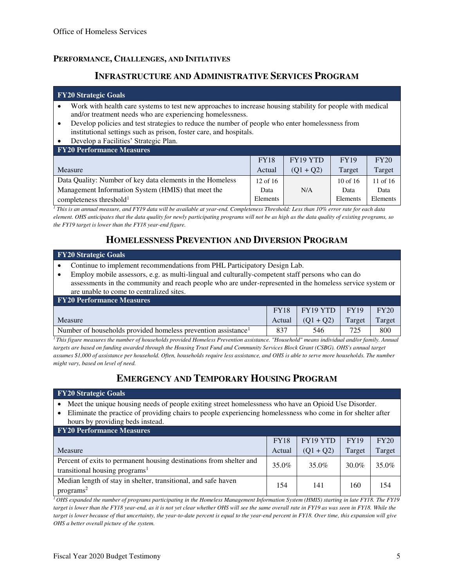### **PERFORMANCE, CHALLENGES, AND INITIATIVES**

## **INFRASTRUCTURE AND ADMINISTRATIVE SERVICES PROGRAM**

#### **FY20 Strategic Goals**

- Work with health care systems to test new approaches to increase housing stability for people with medical and/or treatment needs who are experiencing homelessness.
- Develop policies and test strategies to reduce the number of people who enter homelessness from institutional settings such as prison, foster care, and hospitals.
- Develop a Facilities' Strategic Plan.

| <b>FY20 Performance Measures</b>                          |              |             |              |            |  |  |  |  |  |  |
|-----------------------------------------------------------|--------------|-------------|--------------|------------|--|--|--|--|--|--|
|                                                           | <b>FY18</b>  | FY19 YTD    | <b>FY19</b>  | FY20       |  |  |  |  |  |  |
| Measure                                                   | Actual       | $(01 + 02)$ | Target       | Target     |  |  |  |  |  |  |
| Data Quality: Number of key data elements in the Homeless | $12$ of $16$ |             | $10$ of $16$ | 11 of $16$ |  |  |  |  |  |  |
| Management Information System (HMIS) that meet the        | Data         | N/A         | Data         | Data       |  |  |  |  |  |  |
| completeness threshold <sup>1</sup>                       | Elements     |             | Elements     | Elements   |  |  |  |  |  |  |

*1 This is an annual measure, and FY19 data will be available at year-end. Completeness Threshold: Less than 10% error rate for each data element. OHS anticipates that the data quality for newly participating programs will not be as high as the data quality of existing programs, so the FY19 target is lower than the FY18 year-end figure.*

# **HOMELESSNESS PREVENTION AND DIVERSION PROGRAM**

#### **FY20 Strategic Goals**

- Continue to implement recommendations from PHL Participatory Design Lab.
- Employ mobile assessors, e.g. as multi-lingual and culturally-competent staff persons who can do assessments in the community and reach people who are under-represented in the homeless service system or are unable to come to centralized sites.

| <b>FY20 Performance Measures</b>                                          |             |             |             |             |  |  |  |  |  |
|---------------------------------------------------------------------------|-------------|-------------|-------------|-------------|--|--|--|--|--|
|                                                                           | <b>FY18</b> | FY19YTD     | <b>FY19</b> | <b>FY20</b> |  |  |  |  |  |
| Measure                                                                   | Actual 1    | $(01 + 02)$ | Target      | Target      |  |  |  |  |  |
| Number of households provided homeless prevention assistance <sup>1</sup> | 837         | 546         | 725         | 800         |  |  |  |  |  |

*<sup>1</sup>This figure measures the number of households provided Homeless Prevention assistance. "Household" means individual and/or family. Annual targets are based on funding awarded through the Housing Trust Fund and Community Services Block Grant (CSBG). OHS's annual target assumes \$1,000 of assistance per household. Often, households require less assistance, and OHS is able to serve more households. The number might vary, based on level of need.* 

# **EMERGENCY AND TEMPORARY HOUSING PROGRAM**

#### **FY20 Strategic Goals**

- Meet the unique housing needs of people exiting street homelessness who have an Opioid Use Disorder.
- Eliminate the practice of providing chairs to people experiencing homelessness who come in for shelter after hours by providing beds instead.

| <b>FY20 Performance Measures</b>                                                                                  |             |             |             |        |
|-------------------------------------------------------------------------------------------------------------------|-------------|-------------|-------------|--------|
|                                                                                                                   | <b>FY18</b> | FY19 YTD    | <b>FY19</b> | FY20   |
| Measure                                                                                                           | Actual      | $(Q1 + Q2)$ | Target      | Target |
| Percent of exits to permanent housing destinations from shelter and<br>transitional housing programs <sup>1</sup> | 35.0%       | 35.0%       | 30.0%       | 35.0%  |
| Median length of stay in shelter, transitional, and safe haven<br>programs <sup>2</sup>                           | 154         | 141         | 160         | 154    |

*<sup>1</sup>OHS expanded the number of programs participating in the Homeless Management Information System (HMIS) starting in late FY18. The FY19*  target is lower than the FY18 year-end, as it is not yet clear whether OHS will see the same overall rate in FY19 as was seen in FY18. While the *target is lower because of that uncertainty, the year-to-date percent is equal to the year-end percent in FY18. Over time, this expansion will give OHS a better overall picture of the system.*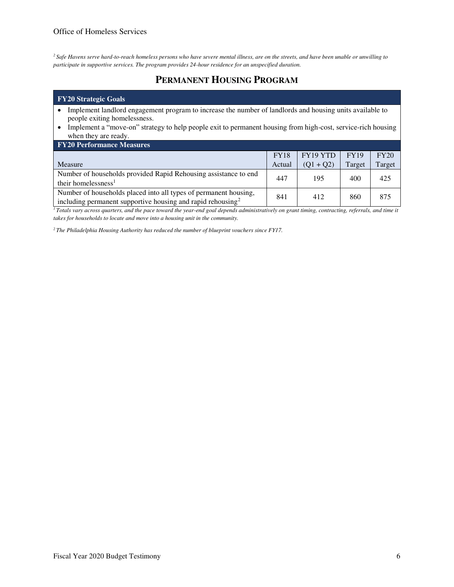*<sup>2</sup>Safe Havens serve hard-to-reach homeless persons who have severe mental illness, are on the streets, and have been unable or unwilling to participate in supportive services. The program provides 24-hour residence for an unspecified duration.* 

# **PERMANENT HOUSING PROGRAM**

#### **FY20 Strategic Goals**

- Implement landlord engagement program to increase the number of landlords and housing units available to people exiting homelessness.
- Implement a "move-on" strategy to help people exit to permanent housing from high-cost, service-rich housing when they are ready.

| <b>FY20 Performance Measures</b>                                                                                                            |             |             |             |        |
|---------------------------------------------------------------------------------------------------------------------------------------------|-------------|-------------|-------------|--------|
|                                                                                                                                             | <b>FY18</b> | FY19 YTD    | <b>FY19</b> | FY20   |
| Measure                                                                                                                                     | Actual      | $(Q1 + Q2)$ | Target      | Target |
| Number of households provided Rapid Rehousing assistance to end<br>their homelessness <sup>1</sup>                                          | 447         | 195         | 400         | 425    |
| Number of households placed into all types of permanent housing,<br>including permanent supportive housing and rapid rehousing <sup>2</sup> | 841         | 412         | 860         | 875    |

*<sup>1</sup>Totals vary across quarters, and the pace toward the year-end goal depends administratively on grant timing, contracting, referrals, and time it takes for households to locate and move into a housing unit in the community.* 

*2 The Philadelphia Housing Authority has reduced the number of blueprint vouchers since FY17.*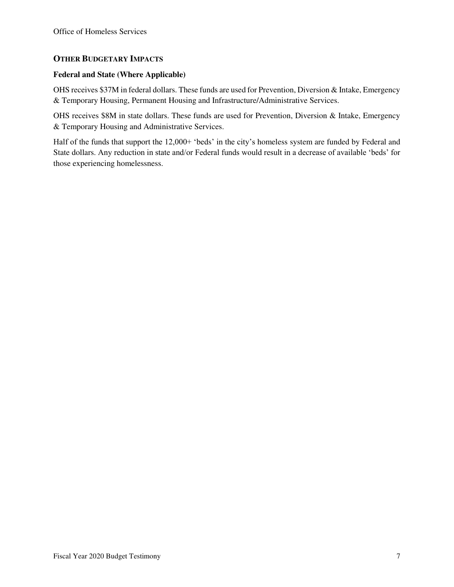### **OTHER BUDGETARY IMPACTS**

### **Federal and State (Where Applicable)**

OHS receives \$37M in federal dollars. These funds are used for Prevention, Diversion & Intake, Emergency & Temporary Housing, Permanent Housing and Infrastructure/Administrative Services.

OHS receives \$8M in state dollars. These funds are used for Prevention, Diversion & Intake, Emergency & Temporary Housing and Administrative Services.

Half of the funds that support the 12,000+ 'beds' in the city's homeless system are funded by Federal and State dollars. Any reduction in state and/or Federal funds would result in a decrease of available 'beds' for those experiencing homelessness.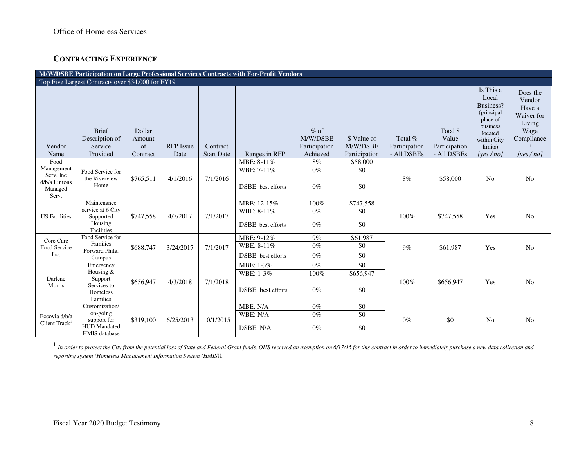## **CONTRACTING EXPERIENCE**

| M/W/DSBE Participation on Large Professional Services Contracts with For-Profit Vendors<br>Top Five Largest Contracts over \$34,000 for FY19 |                                                       |                                    |                          |                               |                            |                                                 |                                          |                                         |                                                   |                                                                                                                             |                                                                                            |
|----------------------------------------------------------------------------------------------------------------------------------------------|-------------------------------------------------------|------------------------------------|--------------------------|-------------------------------|----------------------------|-------------------------------------------------|------------------------------------------|-----------------------------------------|---------------------------------------------------|-----------------------------------------------------------------------------------------------------------------------------|--------------------------------------------------------------------------------------------|
|                                                                                                                                              |                                                       |                                    |                          |                               |                            |                                                 |                                          |                                         |                                                   |                                                                                                                             |                                                                                            |
| Vendor<br>Name                                                                                                                               | <b>Brief</b><br>Description of<br>Service<br>Provided | Dollar<br>Amount<br>of<br>Contract | <b>RFP</b> Issue<br>Date | Contract<br><b>Start Date</b> | Ranges in RFP              | $%$ of<br>M/W/DSBE<br>Participation<br>Achieved | \$ Value of<br>M/W/DSBE<br>Participation | Total %<br>Participation<br>- All DSBEs | Total \$<br>Value<br>Participation<br>- All DSBEs | Is This a<br>Local<br>Business?<br>(principal)<br>place of<br>business<br>located<br>within City<br>limits)<br>[yes $/$ no] | Does the<br>Vendor<br>Have a<br>Waiver for<br>Living<br>Wage<br>Compliance<br>[yes $/$ no] |
| Food                                                                                                                                         |                                                       |                                    |                          |                               | MBE: 8-11%                 | 8%                                              | \$58,000                                 |                                         |                                                   |                                                                                                                             |                                                                                            |
| Management                                                                                                                                   | Food Service for                                      |                                    |                          |                               | WBE: 7-11%                 | $0\%$                                           | \$0                                      |                                         |                                                   |                                                                                                                             |                                                                                            |
| Serv. Inc.<br>d/b/a Lintons<br>Managed<br>Serv.                                                                                              | the Riverview<br>Home                                 | \$765,511                          | 4/1/2016                 | 7/1/2016                      | <b>DSBE</b> : best efforts | $0\%$                                           | \$0                                      | $8\%$                                   | \$58,000                                          | N <sub>o</sub>                                                                                                              | No                                                                                         |
|                                                                                                                                              | Maintenance                                           |                                    |                          |                               | MBE: 12-15%                | 100%                                            | \$747,558                                |                                         | \$747,558                                         |                                                                                                                             | N <sub>o</sub>                                                                             |
|                                                                                                                                              | service at 6 City                                     |                                    |                          |                               | WBE: 8-11%                 | $0\%$                                           | \$0                                      |                                         |                                                   | Yes                                                                                                                         |                                                                                            |
| <b>US</b> Facilities                                                                                                                         | Supported<br>Housing<br>Facilities                    | \$747,558                          | 4/7/2017                 | 7/1/2017                      | DSBE: best efforts         | $0\%$                                           | \$0                                      | 100%                                    |                                                   |                                                                                                                             |                                                                                            |
| Core Care                                                                                                                                    | Food Service for                                      |                                    |                          |                               | MBE: 9-12%                 | $9\%$                                           | \$61,987                                 |                                         |                                                   |                                                                                                                             |                                                                                            |
| Food Service                                                                                                                                 | Families                                              | \$688,747                          | 3/24/2017                | 7/1/2017                      | WBE: 8-11%                 | $0\%$                                           | \$0                                      | $9\%$                                   | \$61,987                                          | Yes                                                                                                                         | No                                                                                         |
| Inc.                                                                                                                                         | Forward Phila.<br>Campus                              |                                    |                          |                               | <b>DSBE</b> : best efforts | $0\%$                                           | \$0                                      |                                         |                                                   |                                                                                                                             |                                                                                            |
|                                                                                                                                              | Emergency                                             |                                    |                          |                               | MBE: 1-3%                  | $0\%$                                           | $\overline{50}$                          |                                         |                                                   |                                                                                                                             |                                                                                            |
|                                                                                                                                              | Housing $&$                                           |                                    |                          |                               | WBE: 1-3%                  | 100%                                            | \$656,947                                |                                         |                                                   |                                                                                                                             |                                                                                            |
| Darlene<br>Morris                                                                                                                            | Support<br>Services to<br>Homeless<br>Families        | \$656,947                          | 4/3/2018                 | 7/1/2018                      | <b>DSBE</b> : best efforts | $0\%$                                           | \$0                                      | 100%                                    | \$656,947                                         | Yes                                                                                                                         | N <sub>o</sub>                                                                             |
|                                                                                                                                              | Customization/                                        |                                    |                          |                               | MBE: N/A                   | $0\%$                                           | \$0                                      |                                         |                                                   |                                                                                                                             |                                                                                            |
| Eccovia d/b/a                                                                                                                                | on-going                                              |                                    |                          |                               | WBE: N/A                   | $0\%$                                           | \$0                                      |                                         |                                                   |                                                                                                                             |                                                                                            |
| Client Track <sup>1</sup>                                                                                                                    | support for<br>HUD Mandated<br>HMIS database          | \$319,100                          | 6/25/2013                | 10/1/2015                     | DSBE: N/A                  | $0\%$                                           | \$0                                      | $0\%$                                   | \$0                                               | N <sub>0</sub>                                                                                                              | N <sub>0</sub>                                                                             |

<sup>1</sup> In order to protect the City from the potential loss of State and Federal Grant funds, OHS received an exemption on 6/17/15 for this contract in order to immediately purchase a new data collection and *reporting system (Homeless Management Information System (HMIS)).*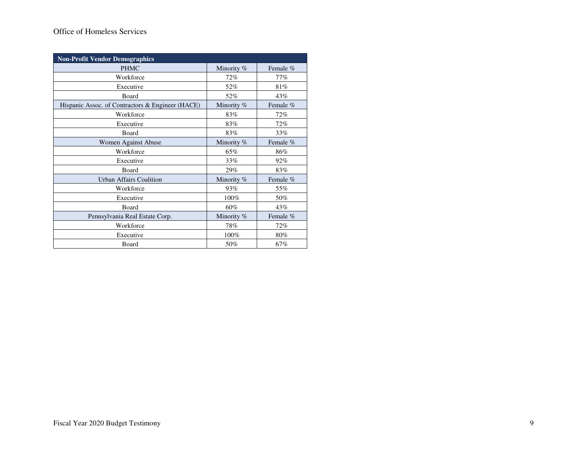# Office of Homeless Services

| <b>Non-Profit Vendor Demographics</b>            |            |          |  |  |  |  |  |
|--------------------------------------------------|------------|----------|--|--|--|--|--|
| <b>PHMC</b>                                      | Minority % | Female % |  |  |  |  |  |
| Workforce                                        | 72%        | 77%      |  |  |  |  |  |
| Executive                                        | 52%        | 81%      |  |  |  |  |  |
| Board                                            | 52%        | 43%      |  |  |  |  |  |
| Hispanic Assoc. of Contractors & Engineer (HACE) | Minority % | Female % |  |  |  |  |  |
| Workforce                                        | 83%        | 72%      |  |  |  |  |  |
| Executive                                        | 83%        | $72\%$   |  |  |  |  |  |
| Board                                            | 83%        | 33%      |  |  |  |  |  |
| Women Against Abuse                              | Minority % | Female % |  |  |  |  |  |
| Workforce                                        | 65%        | 86%      |  |  |  |  |  |
| Executive                                        | 33%        | 92%      |  |  |  |  |  |
| Board                                            | 29%        | 83%      |  |  |  |  |  |
| <b>Urban Affairs Coalition</b>                   | Minority % | Female % |  |  |  |  |  |
| Workforce                                        | 93%        | 55%      |  |  |  |  |  |
| Executive                                        | 100%       | 50%      |  |  |  |  |  |
| <b>Board</b>                                     | 60%        | 43%      |  |  |  |  |  |
| Pennsylvania Real Estate Corp.                   | Minority % | Female % |  |  |  |  |  |
| Workforce                                        | 78%        | 72%      |  |  |  |  |  |
| Executive                                        | 100%       | 80%      |  |  |  |  |  |
| Board                                            | 50%        | 67%      |  |  |  |  |  |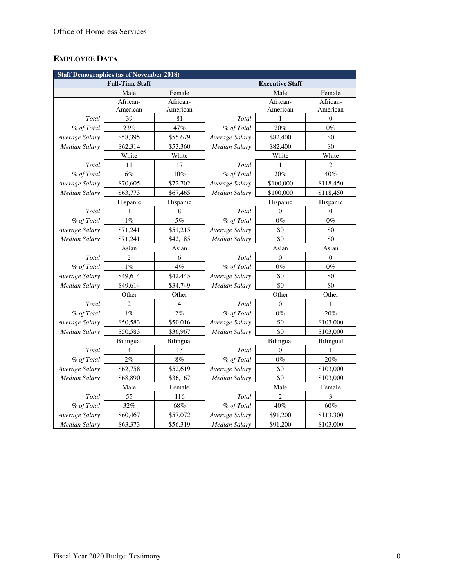# **EMPLOYEE DATA**

| <b>Staff Demographics (as of November 2018)</b> |                |                |                        |              |                |
|-------------------------------------------------|----------------|----------------|------------------------|--------------|----------------|
| <b>Full-Time Staff</b>                          |                |                | <b>Executive Staff</b> |              |                |
|                                                 | Male           | Female         |                        | Male         | Female         |
|                                                 | African-       | African-       |                        | African-     | African-       |
|                                                 | American       | American       |                        | American     | American       |
| Total                                           | 39             | 81             | Total                  | 1            | $\mathbf{0}$   |
| % of Total                                      | 23%            | 47%            | % of Total             | 20%          | $0\%$          |
| Average Salary                                  | \$58,395       | \$55,679       | Average Salary         | \$82,400     | \$0            |
| <b>Median Salary</b>                            | \$62,314       | \$53,360       | Median Salary          | \$82,400     | \$0            |
|                                                 | White          | White          |                        | White        | White          |
| Total                                           | 11             | 17             | Total                  | 1            | $\overline{c}$ |
| % of Total                                      | 6%             | $10\%$         | % of Total             | 20%          | 40%            |
| Average Salary                                  | \$70,605       | \$72,702       | Average Salary         | \$100,000    | \$118,450      |
| <b>Median Salary</b>                            | \$63,773       | \$67,465       | <b>Median Salary</b>   | \$100,000    | \$118,450      |
|                                                 | Hispanic       | Hispanic       |                        | Hispanic     | Hispanic       |
| Total                                           | 1              | 8              | Total                  | $\theta$     | $\theta$       |
| % of Total                                      | $1\%$          | $5\%$          | % of Total             | $0\%$        | $0\%$          |
| Average Salary                                  | \$71,241       | \$51,215       | Average Salary         | \$0          | \$0            |
| <b>Median Salary</b>                            | \$71,241       | \$42,185       | Median Salary          | \$0          | \$0            |
|                                                 | Asian          | Asian          |                        | Asian        | Asian          |
| Total                                           | 2              | 6              | Total                  | $\mathbf{0}$ | $\theta$       |
| % of Total                                      | $1\%$          | 4%             | % of Total             | $0\%$        | $0\%$          |
| Average Salary                                  | \$49,614       | \$42,445       | Average Salary         | \$0          | \$0            |
| Median Salary                                   | \$49,614       | \$34,749       | Median Salary          | \$0          | \$0            |
| Other<br>Other                                  |                |                | Other<br>Other         |              |                |
| Total                                           | $\overline{2}$ | 4              | Total                  | $\Omega$     | 1              |
| % of Total                                      | 1%             | 2%             | % of Total             | $0\%$        | 20%            |
| Average Salary                                  | \$50,583       | \$50,016       | Average Salary         | \$0          | \$103,000      |
| Median Salary                                   | \$50,583       | \$36,967       | <b>Median Salary</b>   | \$0          | \$103,000      |
|                                                 | Bilingual      | Bilingual      |                        | Bilingual    | Bilingual      |
| Total                                           | 4              | 13             | Total                  | $\mathbf{0}$ | 1              |
| % of Total                                      | 2%             | 8%             | % of Total             | $0\%$        | 20%            |
| Average Salary                                  | \$62,758       | \$52,619       | Average Salary         | \$0          | \$103,000      |
| Median Salary                                   | \$68,890       | \$36,167       | Median Salary          | \$0          | \$103,000      |
| Male<br>Female                                  |                | Male<br>Female |                        |              |                |
| Total                                           | 55             | 116            | Total                  | 2            | 3              |
| % of Total                                      | 32%            | $68\%$         | % of Total             | $40\%$       | $60\%$         |
| Average Salary                                  | \$60,467       | \$57,072       | Average Salary         | \$91,200     | \$113,300      |
| <b>Median Salary</b>                            | \$63,373       | \$56,319       | <b>Median Salary</b>   | \$91,200     | \$103,000      |